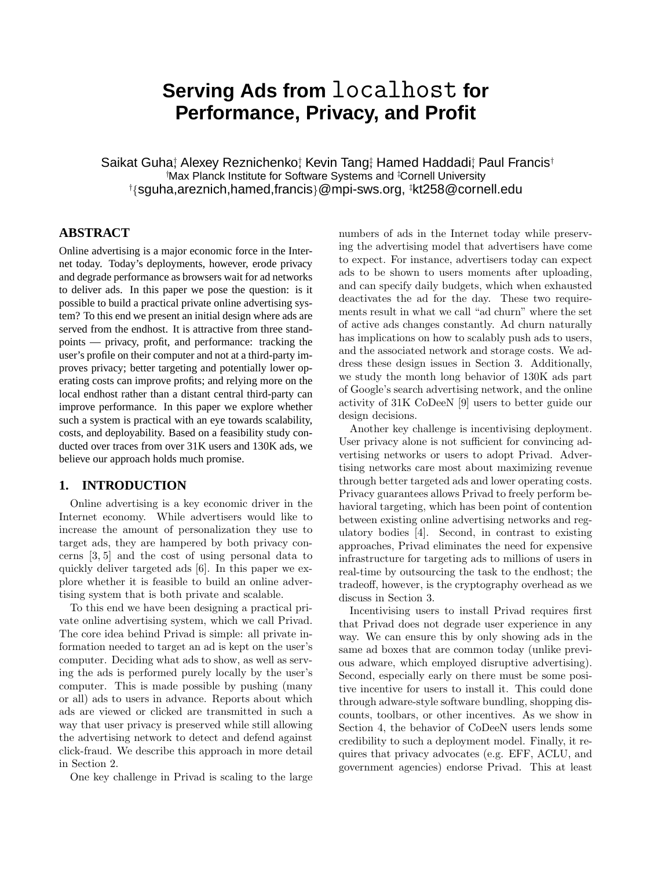# **Serving Ads from** localhost **for Performance, Privacy, and Profit**

Saikat Guha; Alexey Reznichenko; Kevin Tang; Hamed Haddadi; Paul Francis<sup>†</sup> †Max Planck Institute for Software Systems and ‡Cornell University †{sguha,areznich,hamed,francis}@mpi-sws.org, ‡kt258@cornell.edu

# **ABSTRACT**

Online advertising is a major economic force in the Internet today. Today's deployments, however, erode privacy and degrade performance as browsers wait for ad networks to deliver ads. In this paper we pose the question: is it possible to build a practical private online advertising system? To this end we present an initial design where ads are served from the endhost. It is attractive from three standpoints — privacy, profit, and performance: tracking the user's profile on their computer and not at a third-party improves privacy; better targeting and potentially lower operating costs can improve profits; and relying more on the local endhost rather than a distant central third-party can improve performance. In this paper we explore whether such a system is practical with an eye towards scalability, costs, and deployability. Based on a feasibility study conducted over traces from over 31K users and 130K ads, we believe our approach holds much promise.

# **1. INTRODUCTION**

Online advertising is a key economic driver in the Internet economy. While advertisers would like to increase the amount of personalization they use to target ads, they are hampered by both privacy concerns [3, 5] and the cost of using personal data to quickly deliver targeted ads [6]. In this paper we explore whether it is feasible to build an online advertising system that is both private and scalable.

To this end we have been designing a practical private online advertising system, which we call Privad. The core idea behind Privad is simple: all private information needed to target an ad is kept on the user's computer. Deciding what ads to show, as well as serving the ads is performed purely locally by the user's computer. This is made possible by pushing (many or all) ads to users in advance. Reports about which ads are viewed or clicked are transmitted in such a way that user privacy is preserved while still allowing the advertising network to detect and defend against click-fraud. We describe this approach in more detail in Section 2.

One key challenge in Privad is scaling to the large

numbers of ads in the Internet today while preserving the advertising model that advertisers have come to expect. For instance, advertisers today can expect ads to be shown to users moments after uploading, and can specify daily budgets, which when exhausted deactivates the ad for the day. These two requirements result in what we call "ad churn" where the set of active ads changes constantly. Ad churn naturally has implications on how to scalably push ads to users, and the associated network and storage costs. We address these design issues in Section 3. Additionally, we study the month long behavior of 130K ads part of Google's search advertising network, and the online activity of 31K CoDeeN [9] users to better guide our design decisions.

Another key challenge is incentivising deployment. User privacy alone is not sufficient for convincing advertising networks or users to adopt Privad. Advertising networks care most about maximizing revenue through better targeted ads and lower operating costs. Privacy guarantees allows Privad to freely perform behavioral targeting, which has been point of contention between existing online advertising networks and regulatory bodies [4]. Second, in contrast to existing approaches, Privad eliminates the need for expensive infrastructure for targeting ads to millions of users in real-time by outsourcing the task to the endhost; the tradeoff, however, is the cryptography overhead as we discuss in Section 3.

Incentivising users to install Privad requires first that Privad does not degrade user experience in any way. We can ensure this by only showing ads in the same ad boxes that are common today (unlike previous adware, which employed disruptive advertising). Second, especially early on there must be some positive incentive for users to install it. This could done through adware-style software bundling, shopping discounts, toolbars, or other incentives. As we show in Section 4, the behavior of CoDeeN users lends some credibility to such a deployment model. Finally, it requires that privacy advocates (e.g. EFF, ACLU, and government agencies) endorse Privad. This at least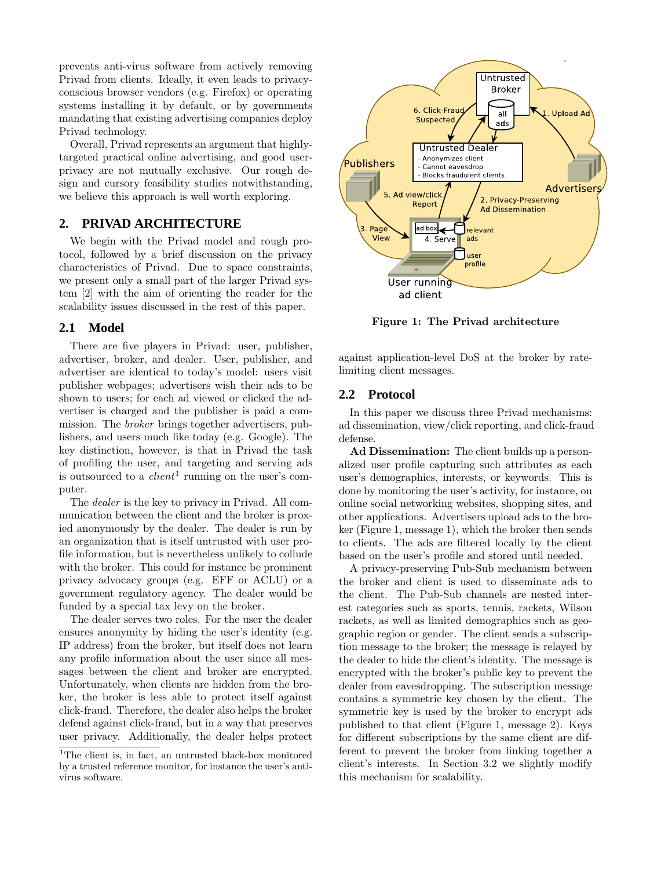prevents anti-virus software from actively removing Privad from clients. Ideally, it even leads to privacyconscious browser vendors (e.g. Firefox) or operating systems installing it by default, or by governments mandating that existing advertising companies deploy Privad technology.

Overall, Privad represents an argument that highlytargeted practical online advertising, and good userprivacy are not mutually exclusive. Our rough design and cursory feasibility studies notwithstanding, we believe this approach is well worth exploring.

# **2. PRIVAD ARCHITECTURE**

We begin with the Privad model and rough protocol, followed by a brief discussion on the privacy characteristics of Privad. Due to space constraints, we present only a small part of the larger Privad system [2] with the aim of orienting the reader for the scalability issues discussed in the rest of this paper.

### **2.1 Model**

There are five players in Privad: user, publisher, advertiser, broker, and dealer. User, publisher, and advertiser are identical to today's model: users visit publisher webpages; advertisers wish their ads to be shown to users; for each ad viewed or clicked the advertiser is charged and the publisher is paid a commission. The broker brings together advertisers, publishers, and users much like today (e.g. Google). The key distinction, however, is that in Privad the task of profiling the user, and targeting and serving ads is outsourced to a  $client<sup>1</sup>$  running on the user's computer.

The dealer is the key to privacy in Privad. All communication between the client and the broker is proxied anonymously by the dealer. The dealer is run by an organization that is itself untrusted with user profile information, but is nevertheless unlikely to collude with the broker. This could for instance be prominent privacy advocacy groups (e.g. EFF or ACLU) or a government regulatory agency. The dealer would be funded by a special tax levy on the broker.

The dealer serves two roles. For the user the dealer ensures anonymity by hiding the user's identity (e.g. IP address) from the broker, but itself does not learn any profile information about the user since all messages between the client and broker are encrypted. Unfortunately, when clients are hidden from the broker, the broker is less able to protect itself against click-fraud. Therefore, the dealer also helps the broker defend against click-fraud, but in a way that preserves user privacy. Additionally, the dealer helps protect



Figure 1: The Privad architecture

against application-level DoS at the broker by ratelimiting client messages.

## **2.2 Protocol**

In this paper we discuss three Privad mechanisms: ad dissemination, view/click reporting, and click-fraud defense.

Ad Dissemination: The client builds up a personalized user profile capturing such attributes as each user's demographics, interests, or keywords. This is done by monitoring the user's activity, for instance, on online social networking websites, shopping sites, and other applications. Advertisers upload ads to the broker (Figure 1, message 1), which the broker then sends to clients. The ads are filtered locally by the client based on the user's profile and stored until needed.

A privacy-preserving Pub-Sub mechanism between the broker and client is used to disseminate ads to the client. The Pub-Sub channels are nested interest categories such as sports, tennis, rackets, Wilson rackets, as well as limited demographics such as geographic region or gender. The client sends a subscription message to the broker; the message is relayed by the dealer to hide the client's identity. The message is encrypted with the broker's public key to prevent the dealer from eavesdropping. The subscription message contains a symmetric key chosen by the client. The symmetric key is used by the broker to encrypt ads published to that client (Figure 1, message 2). Keys for different subscriptions by the same client are different to prevent the broker from linking together a client's interests. In Section 3.2 we slightly modify this mechanism for scalability.

<sup>&</sup>lt;sup>1</sup>The client is, in fact, an untrusted black-box monitored by a trusted reference monitor, for instance the user's antivirus software.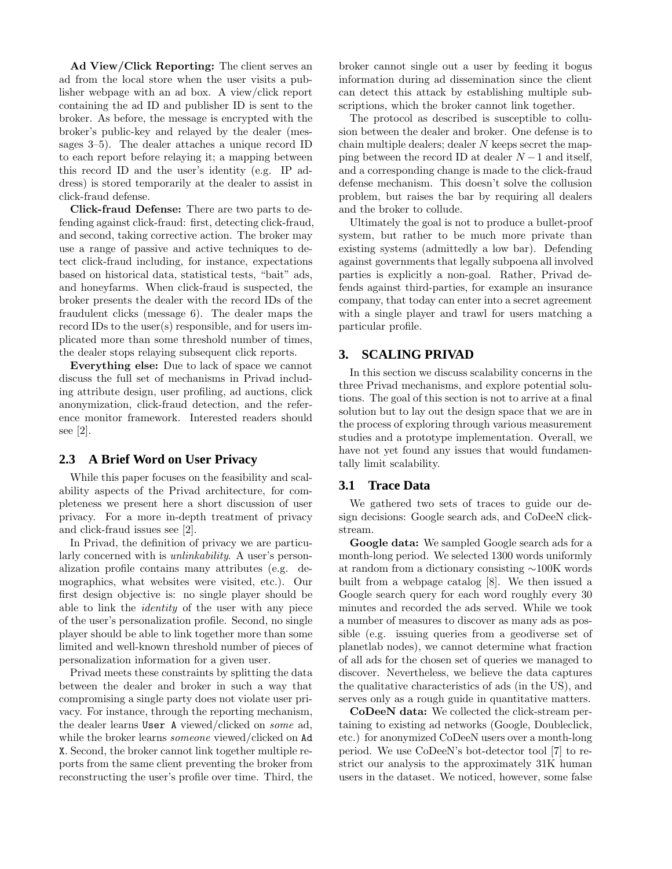Ad View/Click Reporting: The client serves an ad from the local store when the user visits a publisher webpage with an ad box. A view/click report containing the ad ID and publisher ID is sent to the broker. As before, the message is encrypted with the broker's public-key and relayed by the dealer (messages 3–5). The dealer attaches a unique record ID to each report before relaying it; a mapping between this record ID and the user's identity (e.g. IP address) is stored temporarily at the dealer to assist in click-fraud defense.

Click-fraud Defense: There are two parts to defending against click-fraud: first, detecting click-fraud, and second, taking corrective action. The broker may use a range of passive and active techniques to detect click-fraud including, for instance, expectations based on historical data, statistical tests, "bait" ads, and honeyfarms. When click-fraud is suspected, the broker presents the dealer with the record IDs of the fraudulent clicks (message 6). The dealer maps the record IDs to the user(s) responsible, and for users implicated more than some threshold number of times, the dealer stops relaying subsequent click reports.

Everything else: Due to lack of space we cannot discuss the full set of mechanisms in Privad including attribute design, user profiling, ad auctions, click anonymization, click-fraud detection, and the reference monitor framework. Interested readers should see [2].

#### **2.3 A Brief Word on User Privacy**

While this paper focuses on the feasibility and scalability aspects of the Privad architecture, for completeness we present here a short discussion of user privacy. For a more in-depth treatment of privacy and click-fraud issues see [2].

In Privad, the definition of privacy we are particularly concerned with is unlinkability. A user's personalization profile contains many attributes (e.g. demographics, what websites were visited, etc.). Our first design objective is: no single player should be able to link the identity of the user with any piece of the user's personalization profile. Second, no single player should be able to link together more than some limited and well-known threshold number of pieces of personalization information for a given user.

Privad meets these constraints by splitting the data between the dealer and broker in such a way that compromising a single party does not violate user privacy. For instance, through the reporting mechanism, the dealer learns User A viewed/clicked on some ad, while the broker learns *someone* viewed/clicked on Ad X. Second, the broker cannot link together multiple reports from the same client preventing the broker from reconstructing the user's profile over time. Third, the broker cannot single out a user by feeding it bogus information during ad dissemination since the client can detect this attack by establishing multiple subscriptions, which the broker cannot link together.

The protocol as described is susceptible to collusion between the dealer and broker. One defense is to chain multiple dealers; dealer N keeps secret the mapping between the record ID at dealer  $N-1$  and itself, and a corresponding change is made to the click-fraud defense mechanism. This doesn't solve the collusion problem, but raises the bar by requiring all dealers and the broker to collude.

Ultimately the goal is not to produce a bullet-proof system, but rather to be much more private than existing systems (admittedly a low bar). Defending against governments that legally subpoena all involved parties is explicitly a non-goal. Rather, Privad defends against third-parties, for example an insurance company, that today can enter into a secret agreement with a single player and trawl for users matching a particular profile.

#### **3. SCALING PRIVAD**

In this section we discuss scalability concerns in the three Privad mechanisms, and explore potential solutions. The goal of this section is not to arrive at a final solution but to lay out the design space that we are in the process of exploring through various measurement studies and a prototype implementation. Overall, we have not yet found any issues that would fundamentally limit scalability.

#### **3.1 Trace Data**

We gathered two sets of traces to guide our design decisions: Google search ads, and CoDeeN clickstream.

Google data: We sampled Google search ads for a month-long period. We selected 1300 words uniformly at random from a dictionary consisting ∼100K words built from a webpage catalog [8]. We then issued a Google search query for each word roughly every 30 minutes and recorded the ads served. While we took a number of measures to discover as many ads as possible (e.g. issuing queries from a geodiverse set of planetlab nodes), we cannot determine what fraction of all ads for the chosen set of queries we managed to discover. Nevertheless, we believe the data captures the qualitative characteristics of ads (in the US), and serves only as a rough guide in quantitative matters.

CoDeeN data: We collected the click-stream pertaining to existing ad networks (Google, Doubleclick, etc.) for anonymized CoDeeN users over a month-long period. We use CoDeeN's bot-detector tool [7] to restrict our analysis to the approximately 31K human users in the dataset. We noticed, however, some false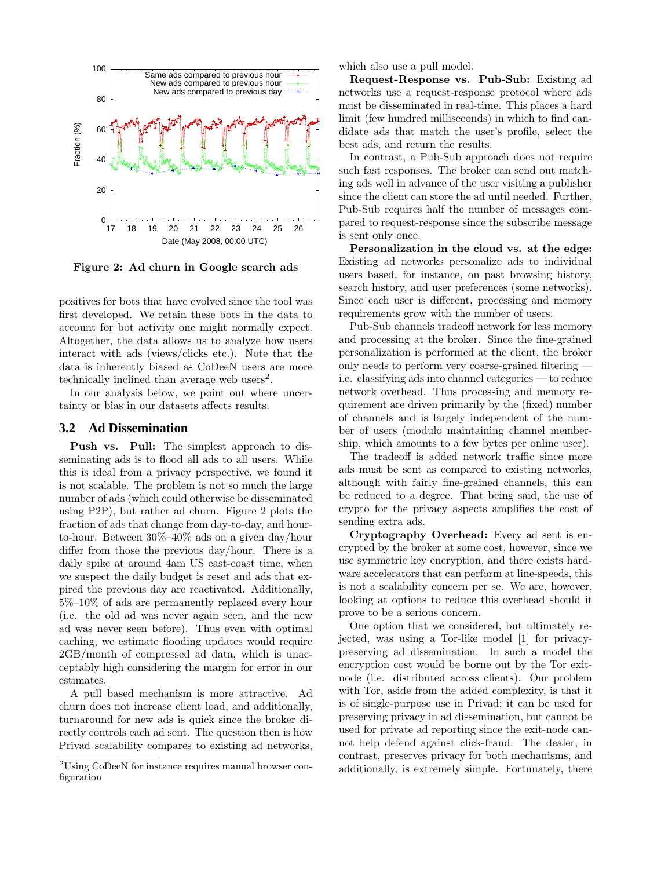

Figure 2: Ad churn in Google search ads

positives for bots that have evolved since the tool was first developed. We retain these bots in the data to account for bot activity one might normally expect. Altogether, the data allows us to analyze how users interact with ads (views/clicks etc.). Note that the data is inherently biased as CoDeeN users are more technically inclined than average web users<sup>2</sup>.

In our analysis below, we point out where uncertainty or bias in our datasets affects results.

#### **3.2 Ad Dissemination**

Push vs. Pull: The simplest approach to disseminating ads is to flood all ads to all users. While this is ideal from a privacy perspective, we found it is not scalable. The problem is not so much the large number of ads (which could otherwise be disseminated using P2P), but rather ad churn. Figure 2 plots the fraction of ads that change from day-to-day, and hourto-hour. Between 30%–40% ads on a given day/hour differ from those the previous day/hour. There is a daily spike at around 4am US east-coast time, when we suspect the daily budget is reset and ads that expired the previous day are reactivated. Additionally, 5%–10% of ads are permanently replaced every hour (i.e. the old ad was never again seen, and the new ad was never seen before). Thus even with optimal caching, we estimate flooding updates would require 2GB/month of compressed ad data, which is unacceptably high considering the margin for error in our estimates.

A pull based mechanism is more attractive. Ad churn does not increase client load, and additionally, turnaround for new ads is quick since the broker directly controls each ad sent. The question then is how Privad scalability compares to existing ad networks, which also use a pull model.

Request-Response vs. Pub-Sub: Existing ad networks use a request-response protocol where ads must be disseminated in real-time. This places a hard limit (few hundred milliseconds) in which to find candidate ads that match the user's profile, select the best ads, and return the results.

In contrast, a Pub-Sub approach does not require such fast responses. The broker can send out matching ads well in advance of the user visiting a publisher since the client can store the ad until needed. Further, Pub-Sub requires half the number of messages compared to request-response since the subscribe message is sent only once.

Personalization in the cloud vs. at the edge: Existing ad networks personalize ads to individual users based, for instance, on past browsing history, search history, and user preferences (some networks). Since each user is different, processing and memory requirements grow with the number of users.

Pub-Sub channels tradeoff network for less memory and processing at the broker. Since the fine-grained personalization is performed at the client, the broker only needs to perform very coarse-grained filtering i.e. classifying ads into channel categories — to reduce network overhead. Thus processing and memory requirement are driven primarily by the (fixed) number of channels and is largely independent of the number of users (modulo maintaining channel membership, which amounts to a few bytes per online user).

The tradeoff is added network traffic since more ads must be sent as compared to existing networks, although with fairly fine-grained channels, this can be reduced to a degree. That being said, the use of crypto for the privacy aspects amplifies the cost of sending extra ads.

Cryptography Overhead: Every ad sent is encrypted by the broker at some cost, however, since we use symmetric key encryption, and there exists hardware accelerators that can perform at line-speeds, this is not a scalability concern per se. We are, however, looking at options to reduce this overhead should it prove to be a serious concern.

One option that we considered, but ultimately rejected, was using a Tor-like model [1] for privacypreserving ad dissemination. In such a model the encryption cost would be borne out by the Tor exitnode (i.e. distributed across clients). Our problem with Tor, aside from the added complexity, is that it is of single-purpose use in Privad; it can be used for preserving privacy in ad dissemination, but cannot be used for private ad reporting since the exit-node cannot help defend against click-fraud. The dealer, in contrast, preserves privacy for both mechanisms, and additionally, is extremely simple. Fortunately, there

 $\rm ^2Using$  CoDeeN for instance requires manual browser configuration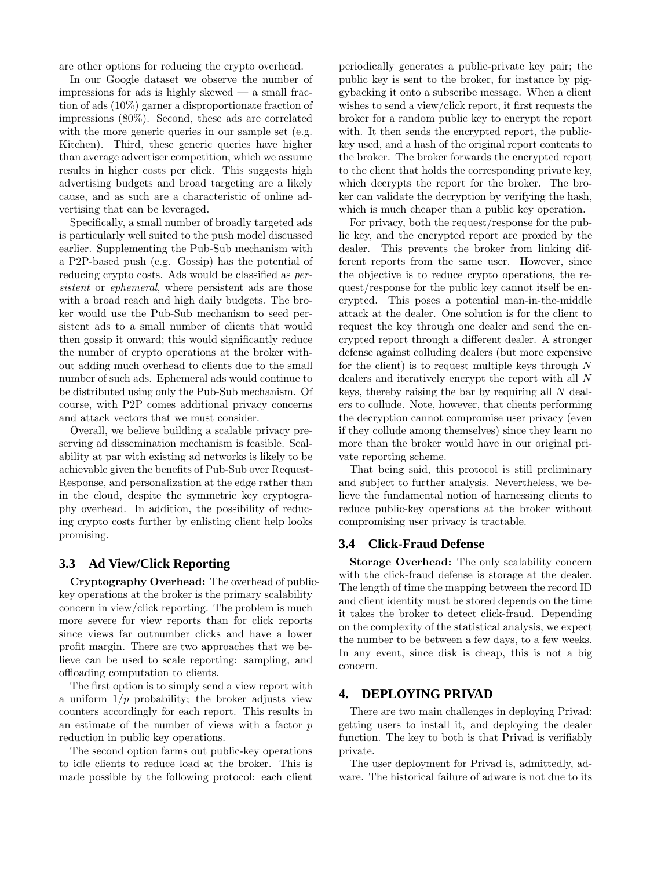are other options for reducing the crypto overhead.

In our Google dataset we observe the number of impressions for ads is highly skewed  $-$  a small fraction of ads (10%) garner a disproportionate fraction of impressions (80%). Second, these ads are correlated with the more generic queries in our sample set (e.g. Kitchen). Third, these generic queries have higher than average advertiser competition, which we assume results in higher costs per click. This suggests high advertising budgets and broad targeting are a likely cause, and as such are a characteristic of online advertising that can be leveraged.

Specifically, a small number of broadly targeted ads is particularly well suited to the push model discussed earlier. Supplementing the Pub-Sub mechanism with a P2P-based push (e.g. Gossip) has the potential of reducing crypto costs. Ads would be classified as persistent or ephemeral, where persistent ads are those with a broad reach and high daily budgets. The broker would use the Pub-Sub mechanism to seed persistent ads to a small number of clients that would then gossip it onward; this would significantly reduce the number of crypto operations at the broker without adding much overhead to clients due to the small number of such ads. Ephemeral ads would continue to be distributed using only the Pub-Sub mechanism. Of course, with P2P comes additional privacy concerns and attack vectors that we must consider.

Overall, we believe building a scalable privacy preserving ad dissemination mechanism is feasible. Scalability at par with existing ad networks is likely to be achievable given the benefits of Pub-Sub over Request-Response, and personalization at the edge rather than in the cloud, despite the symmetric key cryptography overhead. In addition, the possibility of reducing crypto costs further by enlisting client help looks promising.

# **3.3 Ad View/Click Reporting**

Cryptography Overhead: The overhead of publickey operations at the broker is the primary scalability concern in view/click reporting. The problem is much more severe for view reports than for click reports since views far outnumber clicks and have a lower profit margin. There are two approaches that we believe can be used to scale reporting: sampling, and offloading computation to clients.

The first option is to simply send a view report with a uniform  $1/p$  probability; the broker adjusts view counters accordingly for each report. This results in an estimate of the number of views with a factor  $p$ reduction in public key operations.

The second option farms out public-key operations to idle clients to reduce load at the broker. This is made possible by the following protocol: each client periodically generates a public-private key pair; the public key is sent to the broker, for instance by piggybacking it onto a subscribe message. When a client wishes to send a view/click report, it first requests the broker for a random public key to encrypt the report with. It then sends the encrypted report, the publickey used, and a hash of the original report contents to the broker. The broker forwards the encrypted report to the client that holds the corresponding private key, which decrypts the report for the broker. The broker can validate the decryption by verifying the hash, which is much cheaper than a public key operation.

For privacy, both the request/response for the public key, and the encrypted report are proxied by the dealer. This prevents the broker from linking different reports from the same user. However, since the objective is to reduce crypto operations, the request/response for the public key cannot itself be encrypted. This poses a potential man-in-the-middle attack at the dealer. One solution is for the client to request the key through one dealer and send the encrypted report through a different dealer. A stronger defense against colluding dealers (but more expensive for the client) is to request multiple keys through  $N$ dealers and iteratively encrypt the report with all N keys, thereby raising the bar by requiring all  $N$  dealers to collude. Note, however, that clients performing the decryption cannot compromise user privacy (even if they collude among themselves) since they learn no more than the broker would have in our original private reporting scheme.

That being said, this protocol is still preliminary and subject to further analysis. Nevertheless, we believe the fundamental notion of harnessing clients to reduce public-key operations at the broker without compromising user privacy is tractable.

## **3.4 Click-Fraud Defense**

Storage Overhead: The only scalability concern with the click-fraud defense is storage at the dealer. The length of time the mapping between the record ID and client identity must be stored depends on the time it takes the broker to detect click-fraud. Depending on the complexity of the statistical analysis, we expect the number to be between a few days, to a few weeks. In any event, since disk is cheap, this is not a big concern.

# **4. DEPLOYING PRIVAD**

There are two main challenges in deploying Privad: getting users to install it, and deploying the dealer function. The key to both is that Privad is verifiably private.

The user deployment for Privad is, admittedly, adware. The historical failure of adware is not due to its